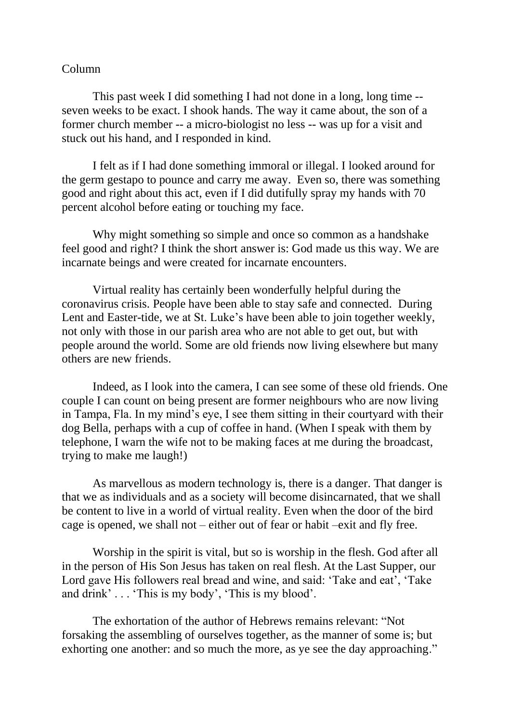## Column

This past week I did something I had not done in a long, long time - seven weeks to be exact. I shook hands. The way it came about, the son of a former church member -- a micro-biologist no less -- was up for a visit and stuck out his hand, and I responded in kind.

I felt as if I had done something immoral or illegal. I looked around for the germ gestapo to pounce and carry me away. Even so, there was something good and right about this act, even if I did dutifully spray my hands with 70 percent alcohol before eating or touching my face.

Why might something so simple and once so common as a handshake feel good and right? I think the short answer is: God made us this way. We are incarnate beings and were created for incarnate encounters.

Virtual reality has certainly been wonderfully helpful during the coronavirus crisis. People have been able to stay safe and connected. During Lent and Easter-tide, we at St. Luke's have been able to join together weekly, not only with those in our parish area who are not able to get out, but with people around the world. Some are old friends now living elsewhere but many others are new friends.

Indeed, as I look into the camera, I can see some of these old friends. One couple I can count on being present are former neighbours who are now living in Tampa, Fla. In my mind's eye, I see them sitting in their courtyard with their dog Bella, perhaps with a cup of coffee in hand. (When I speak with them by telephone, I warn the wife not to be making faces at me during the broadcast, trying to make me laugh!)

As marvellous as modern technology is, there is a danger. That danger is that we as individuals and as a society will become disincarnated, that we shall be content to live in a world of virtual reality. Even when the door of the bird cage is opened, we shall not – either out of fear or habit –exit and fly free.

Worship in the spirit is vital, but so is worship in the flesh. God after all in the person of His Son Jesus has taken on real flesh. At the Last Supper, our Lord gave His followers real bread and wine, and said: 'Take and eat', 'Take and drink' . . . 'This is my body', 'This is my blood'.

The exhortation of the author of Hebrews remains relevant: "Not forsaking the assembling of ourselves together, as the manner of some is; but exhorting one another: and so much the more, as ye see the day approaching."